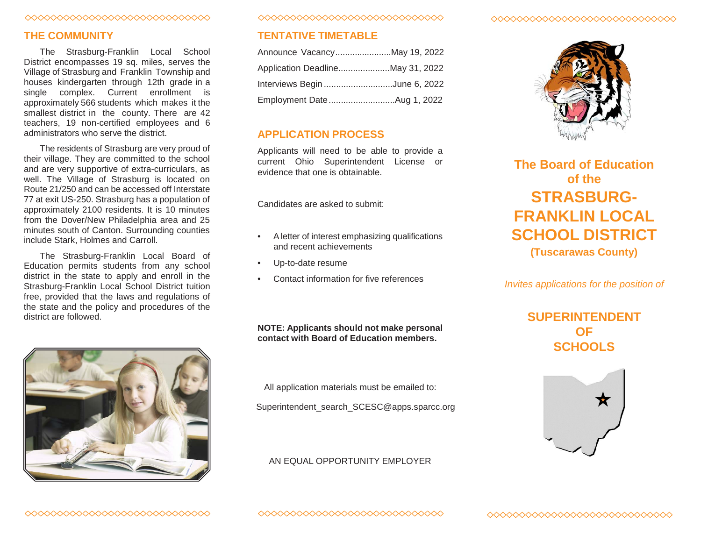### ◇◇◇◇◇◇◇◇◇◇◇◇◇◇◇◇◇◇◇◇◇◇◇◇◇◇◇◇◇

## **THE COMMUNITY**

The Strasburg-Franklin Local School District encompasses 19 sq. miles, serves the Village of Strasburg and Franklin Township and houses kindergarten through 12th grade in a single complex. Current enrollment is approximately 566 students which makes it the smallest district in the county. There are 42 teachers, 19 non-certified employees and 6 administrators who serve the district.

The residents of Strasburg are very proud of their village. They are committed to the school and are very supportive of extra-curriculars, as well. The Village of Strasburg is located on Route 21/250 and can be accessed off Interstate 77 at exit US-250. Strasburg has a population of approximately 2100 residents. It is 10 minutes from the Dover/New Philadelphia area and 25 minutes south of Canton. Surrounding counties include Stark, Holmes and Carroll.

The Strasburg-Franklin Local Board of Education permits students from any school district in the state to apply and enroll in the Strasburg-Franklin Local School District tuition free, provided that the laws and regulations of the state and the policy and procedures of the district are followed.



0000000000000000000000000000000

## **TENTATIVE TIMETABLE**

| Announce VacancyMay 19, 2022  |  |
|-------------------------------|--|
|                               |  |
| Interviews Begin June 6, 2022 |  |
| Employment DateAug 1, 2022    |  |

## **APPLICATION PROCESS**

Applicants will need to be able to provide a current Ohio Superintendent License or evidence that one is obtainable.

Candidates are asked to submit:

- Aletter of interest emphasizing qualifications and recent achievements
- Up-to-date resume
- Contact information for five references

**NOTE: Applicants should not make personal contact with Board of Education members.**

All application materials must be emailed to:

Superintendent\_search\_SCESC@apps.sparcc.org

### AN EQUAL OPPORTUNITY EMPLOYER

#### ◇◇◇◇◇◇◇◇◇◇◇◇◇◇◇◇◇◇◇◇◇◇◇◇◇◇◇◇



# **The Board of Education of the STRASBURG-FRANKLIN LOCAL SCHOOL DISTRICT (Tuscarawas County)**

*Invites applications for the position of*

## **SUPERINTENDENT OF SCHOOLS**